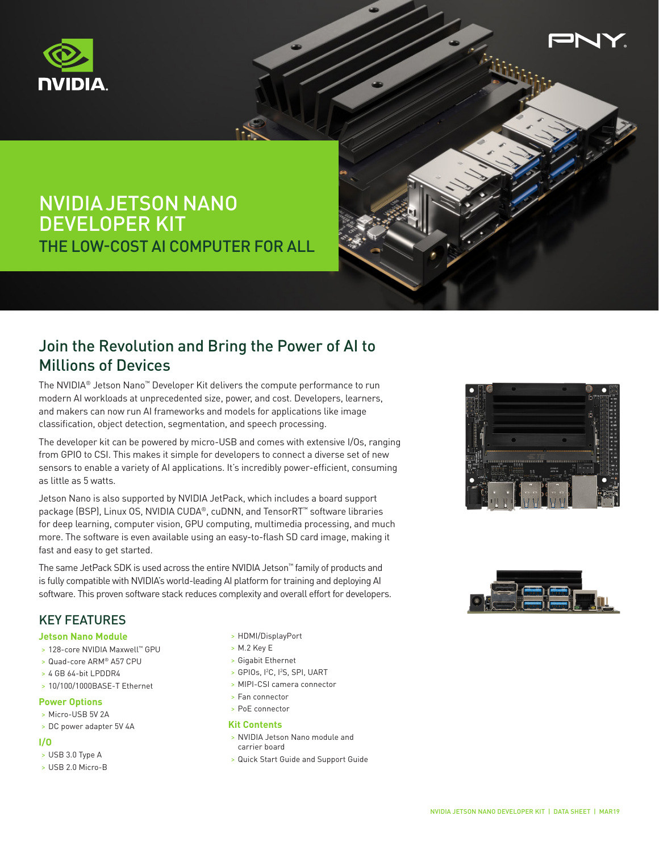



# NVIDIA JETSON NANO DEVELOPER KIT THE LOW-COST AI COMPUTER FOR ALL

## Join the Revolution and Bring the Power of AI to Millions of Devices

The NVIDIA® Jetson Nano™ Developer Kit delivers the compute performance to run modern AI workloads at unprecedented size, power, and cost. Developers, learners, and makers can now run AI frameworks and models for applications like image classification, object detection, segmentation, and speech processing.

The developer kit can be powered by micro-USB and comes with extensive I/Os, ranging from GPIO to CSI. This makes it simple for developers to connect a diverse set of new sensors to enable a variety of AI applications. It's incredibly power-efficient, consuming as little as 5 watts.

Jetson Nano is also supported by NVIDIA JetPack, which includes a board support package (BSP), Linux OS, NVIDIA CUDA®, cuDNN, and TensorRT™ software libraries for deep learning, computer vision, GPU computing, multimedia processing, and much more. The software is even available using an easy-to-flash SD card image, making it fast and easy to get started.

The same JetPack SDK is used across the entire NVIDIA Jetson™ family of products and is fully compatible with NVIDIA's world-leading AI platform for training and deploying AI software. This proven software stack reduces complexity and overall effort for developers.



### KEY FEATURES

#### **Jetson Nano Module**

- > 128-core NVIDIA Maxwell™ GPU
- > Quad-core ARM® A57 CPU
- > 4 GB 64-bit LPDDR4
- > 10/100/1000BASE-T Ethernet

### **Power Options**

- > Micro-USB 5V 2A
- > DC power adapter 5V 4A

#### **I/O**

- > USB 3.0 Type A
- > USB 2.0 Micro-B
- > HDMI/DisplayPort
- > M.2 Key E
- > Gigabit Ethernet
- > GPIOs, I2 C, I2 S, SPI, UART
- > MIPI-CSI camera connector
- > Fan connector
- > PoE connector

#### **Kit Contents**

- > NVIDIA Jetson Nano module and carrier board
- > Quick Start Guide and Support Guide